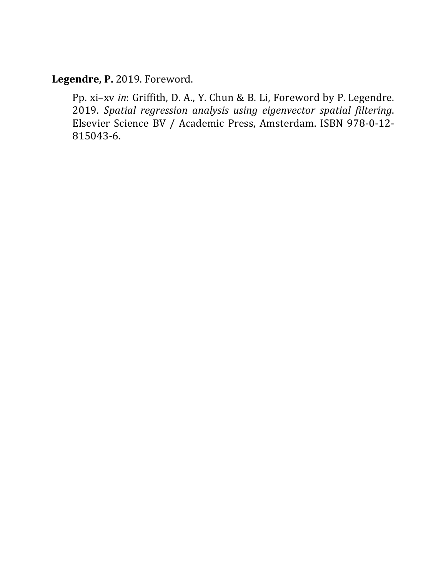## Legendre, P. 2019. Foreword.

Pp. xi-xv *in*: Griffith, D. A., Y. Chun & B. Li, Foreword by P. Legendre. 2019. *Spatial regression analysis using eigenvector spatial filtering*. Elsevier Science BV / Academic Press, Amsterdam. ISBN 978-0-12-815043-6.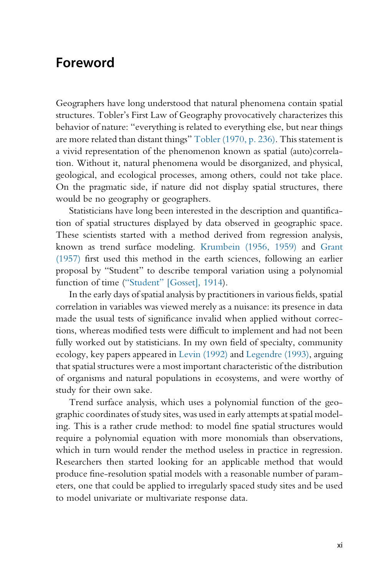## Foreword

Geographers have long understood that natural phenomena contain spatial structures. Tobler's First Law of Geography provocatively characterizes this behavior of nature: "everything is related to everything else, but near things are more related than distant things" [Tobler \(1970, p. 236\).](#page-6-0) This statement is a vivid representation of the phenomenon known as spatial (auto)correlation. Without it, natural phenomena would be disorganized, and physical, geological, and ecological processes, among others, could not take place. On the pragmatic side, if nature did not display spatial structures, there would be no geography or geographers.

Statisticians have long been interested in the description and quantification of spatial structures displayed by data observed in geographic space. These scientists started with a method derived from regression analysis, known as trend surface modeling. [Krumbein \(1956, 1959\)](#page-6-0) and [Grant](#page-5-0) [\(1957\)](#page-5-0) first used this method in the earth sciences, following an earlier proposal by "Student" to describe temporal variation using a polynomial function of time (["Student" \[Gosset\], 1914](#page-5-0)).

In the early days of spatial analysis by practitioners in various fields, spatial correlation in variables was viewed merely as a nuisance: its presence in data made the usual tests of significance invalid when applied without corrections, whereas modified tests were difficult to implement and had not been fully worked out by statisticians. In my own field of specialty, community ecology, key papers appeared in [Levin \(1992\)](#page-6-0) and [Legendre \(1993\),](#page-6-0) arguing that spatial structures were a most important characteristic of the distribution of organisms and natural populations in ecosystems, and were worthy of study for their own sake.

Trend surface analysis, which uses a polynomial function of the geographic coordinates of study sites, was used in early attempts at spatial modeling. This is a rather crude method: to model fine spatial structures would require a polynomial equation with more monomials than observations, which in turn would render the method useless in practice in regression. Researchers then started looking for an applicable method that would produce fine-resolution spatial models with a reasonable number of parameters, one that could be applied to irregularly spaced study sites and be used to model univariate or multivariate response data.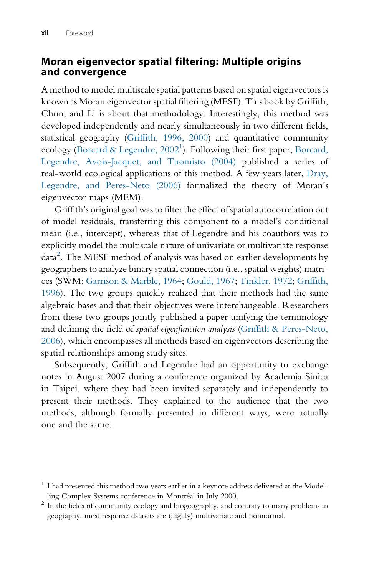### Moran eigenvector spatial filtering: Multiple origins and convergence

A method to model multiscale spatial patterns based on spatial eigenvectors is known as Moran eigenvector spatial filtering (MESF). This book by Griffith, Chun, and Li is about that methodology. Interestingly, this method was developed independently and nearly simultaneously in two different fields, statistical geography ([Griffith, 1996, 2000\)](#page-5-0) and quantitative community ecology (Borcard & Legendre, 2002<sup>1</sup>). Following their first paper, [Borcard,](#page-5-0) [Legendre, Avois-Jacquet, and Tuomisto \(2004\)](#page-5-0) published a series of real-world ecological applications of this method. A few years later, [Dray,](#page-5-0) [Legendre, and Peres-Neto \(2006\)](#page-5-0) formalized the theory of Moran's eigenvector maps (MEM).

Griffith's original goal was to filter the effect of spatial autocorrelation out of model residuals, transferring this component to a model's conditional mean (i.e., intercept), whereas that of Legendre and his coauthors was to explicitly model the multiscale nature of univariate or multivariate response data<sup>2</sup>. The MESF method of analysis was based on earlier developments by geographers to analyze binary spatial connection (i.e., spatial weights) matrices (SWM; [Garrison & Marble, 1964;](#page-5-0) [Gould, 1967](#page-5-0); [Tinkler, 1972;](#page-6-0) [Griffith,](#page-5-0) [1996\)](#page-5-0). The two groups quickly realized that their methods had the same algebraic bases and that their objectives were interchangeable. Researchers from these two groups jointly published a paper unifying the terminology and defining the field of spatial eigenfunction analysis ([Griffith & Peres-Neto,](#page-5-0) [2006\)](#page-5-0), which encompasses all methods based on eigenvectors describing the spatial relationships among study sites.

Subsequently, Griffith and Legendre had an opportunity to exchange notes in August 2007 during a conference organized by Academia Sinica in Taipei, where they had been invited separately and independently to present their methods. They explained to the audience that the two methods, although formally presented in different ways, were actually one and the same.

<sup>&</sup>lt;sup>1</sup> I had presented this method two years earlier in a keynote address delivered at the Modelling Complex Systems conference in Montreal in July 2000. <sup>2</sup> In the fields of community ecology and biogeography, and contrary to many problems in

geography, most response datasets are (highly) multivariate and nonnormal.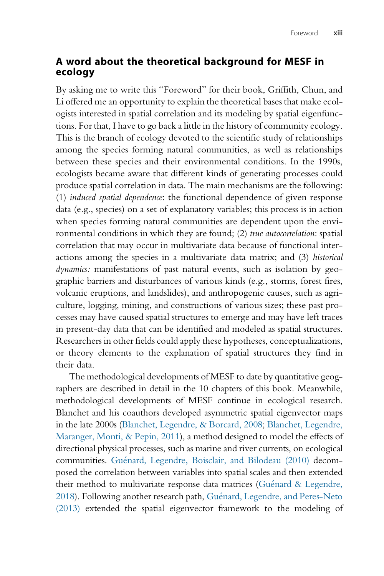#### A word about the theoretical background for MESF in ecology

By asking me to write this "Foreword" for their book, Griffith, Chun, and Li offered me an opportunity to explain the theoretical bases that make ecologists interested in spatial correlation and its modeling by spatial eigenfunctions. For that, I have to go back a little in the history of community ecology. This is the branch of ecology devoted to the scientific study of relationships among the species forming natural communities, as well as relationships between these species and their environmental conditions. In the 1990s, ecologists became aware that different kinds of generating processes could produce spatial correlation in data. The main mechanisms are the following: (1) induced spatial dependence: the functional dependence of given response data (e.g., species) on a set of explanatory variables; this process is in action when species forming natural communities are dependent upon the environmental conditions in which they are found; (2) true autocorrelation: spatial correlation that may occur in multivariate data because of functional interactions among the species in a multivariate data matrix; and (3) historical dynamics: manifestations of past natural events, such as isolation by geographic barriers and disturbances of various kinds (e.g., storms, forest fires, volcanic eruptions, and landslides), and anthropogenic causes, such as agriculture, logging, mining, and constructions of various sizes; these past processes may have caused spatial structures to emerge and may have left traces in present-day data that can be identified and modeled as spatial structures. Researchers in other fields could apply these hypotheses, conceptualizations, or theory elements to the explanation of spatial structures they find in their data.

The methodological developments of MESF to date by quantitative geographers are described in detail in the 10 chapters of this book. Meanwhile, methodological developments of MESF continue in ecological research. Blanchet and his coauthors developed asymmetric spatial eigenvector maps in the late 2000s [\(Blanchet, Legendre, & Borcard, 2008](#page-5-0); [Blanchet, Legendre,](#page-5-0) [Maranger, Monti, & Pepin, 2011](#page-5-0)), a method designed to model the effects of directional physical processes, such as marine and river currents, on ecological communities. [Gu](#page-6-0)énard, Legendre, Boisclair, and Bilodeau (2010) decomposed the correlation between variables into spatial scales and then extended their method to multivariate response data matrices ([Gu](#page-6-0)énard & Legendre, [2018\)](#page-6-0). Following another research path, [Gu](#page-6-0)é[nard, Legendre, and Peres-Neto](#page-6-0) [\(2013\)](#page-6-0) extended the spatial eigenvector framework to the modeling of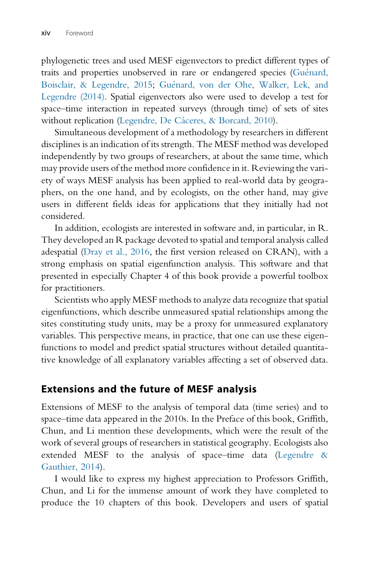phylogenetic trees and used MESF eigenvectors to predict different types of traits and properties unobserved in rare or endangered species [\(Gu](#page-5-0)é[nard,](#page-5-0) [Boisclair, & Legendre, 2015](#page-5-0); [Gu](#page-6-0)é[nard, von der Ohe, Walker, Lek, and](#page-6-0) [Legendre \(2014\)](#page-6-0). Spatial eigenvectors also were used to develop a test for space–time interaction in repeated surveys (through time) of sets of sites without replication (Legendre, De Cáceres, & Borcard, 2010).

Simultaneous development of a methodology by researchers in different disciplines is an indication of its strength. The MESF method was developed independently by two groups of researchers, at about the same time, which may provide users of the method more confidence in it. Reviewing the variety of ways MESF analysis has been applied to real-world data by geographers, on the one hand, and by ecologists, on the other hand, may give users in different fields ideas for applications that they initially had not considered.

In addition, ecologists are interested in software and, in particular, in R. They developed an R package devoted to spatial and temporal analysis called adespatial [\(Dray et al., 2016](#page-5-0), the first version released on CRAN), with a strong emphasis on spatial eigenfunction analysis. This software and that presented in especially Chapter 4 of this book provide a powerful toolbox for practitioners.

Scientists who apply MESF methods to analyze data recognize that spatial eigenfunctions, which describe unmeasured spatial relationships among the sites constituting study units, may be a proxy for unmeasured explanatory variables. This perspective means, in practice, that one can use these eigenfunctions to model and predict spatial structures without detailed quantitative knowledge of all explanatory variables affecting a set of observed data.

#### Extensions and the future of MESF analysis

Extensions of MESF to the analysis of temporal data (time series) and to space–time data appeared in the 2010s. In the Preface of this book, Griffith, Chun, and Li mention these developments, which were the result of the work of several groups of researchers in statistical geography. Ecologists also extended MESF to the analysis of space–time data [\(Legendre &](#page-6-0) [Gauthier, 2014](#page-6-0)).

I would like to express my highest appreciation to Professors Griffith, Chun, and Li for the immense amount of work they have completed to produce the 10 chapters of this book. Developers and users of spatial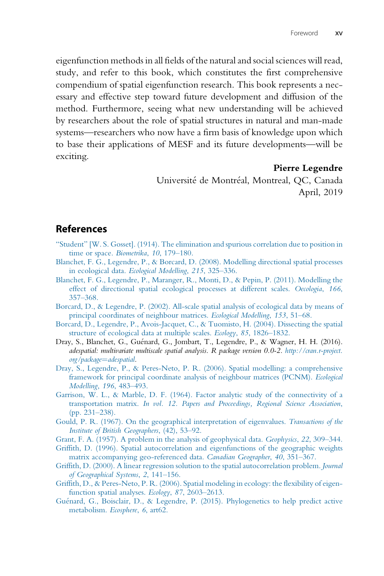<span id="page-5-0"></span>eigenfunction methods in all fields of the natural and social sciences will read, study, and refer to this book, which constitutes the first comprehensive compendium of spatial eigenfunction research. This book represents a necessary and effective step toward future development and diffusion of the method. Furthermore, seeing what new understanding will be achieved by researchers about the role of spatial structures in natural and man-made systems—researchers who now have a firm basis of knowledge upon which to base their applications of MESF and its future developments—will be exciting.

#### Pierre Legendre

Universite de Montreal, Montreal, QC, Canada April, 2019

#### References

- ["Student" \[W. S. Gosset\]. \(1914\). The elimination and spurious correlation due to position in](http://refhub.elsevier.com/B978-0-12-815043-6.09997-3/rf0010) [time or space.](http://refhub.elsevier.com/B978-0-12-815043-6.09997-3/rf0010) Biometrika, 10, 179-180.
- [Blanchet, F. G., Legendre, P., & Borcard, D. \(2008\). Modelling directional spatial processes](http://refhub.elsevier.com/B978-0-12-815043-6.09997-3/rf0015) in ecological data. [Ecological Modelling](http://refhub.elsevier.com/B978-0-12-815043-6.09997-3/rf0015), 215, 325–336.
- [Blanchet, F. G., Legendre, P., Maranger, R., Monti, D., & Pepin, P. \(2011\). Modelling the](http://refhub.elsevier.com/B978-0-12-815043-6.09997-3/rf0020) [effect of directional spatial ecological processes at different scales.](http://refhub.elsevier.com/B978-0-12-815043-6.09997-3/rf0020) Oecologia, 166, 357–[368.](http://refhub.elsevier.com/B978-0-12-815043-6.09997-3/rf0020)
- [Borcard, D., & Legendre, P. \(2002\). All-scale spatial analysis of ecological data by means of](http://refhub.elsevier.com/B978-0-12-815043-6.09997-3/rf0025) [principal coordinates of neighbour matrices.](http://refhub.elsevier.com/B978-0-12-815043-6.09997-3/rf0025) Ecological Modelling, 153, 51–68.
- [Borcard, D., Legendre, P., Avois-Jacquet, C., & Tuomisto, H. \(2004\). Dissecting the spatial](http://refhub.elsevier.com/B978-0-12-815043-6.09997-3/rf0030) [structure of ecological data at multiple scales.](http://refhub.elsevier.com/B978-0-12-815043-6.09997-3/rf0030) Ecology, 85, 1826–1832.
- Dray, S., Blanchet, G., Guénard, G., Jombart, T., Legendre, P., & Wagner, H. H. (2016). adespatial: multivariate multiscale spatial analysis. R package version 0.0-2. [http://cran.r-project.](http://cran.r-project.org/package=adespatial) [org/package](http://cran.r-project.org/package=adespatial)=[adespatial](http://cran.r-project.org/package=adespatial).
- [Dray, S., Legendre, P., & Peres-Neto, P. R. \(2006\). Spatial modelling: a comprehensive](http://refhub.elsevier.com/B978-0-12-815043-6.09997-3/rf0040) [framework for principal coordinate analysis of neighbour matrices \(PCNM\).](http://refhub.elsevier.com/B978-0-12-815043-6.09997-3/rf0040) Ecological [Modelling](http://refhub.elsevier.com/B978-0-12-815043-6.09997-3/rf0040), 196, 483–493.
- [Garrison, W. L., & Marble, D. F. \(1964\). Factor analytic study of the connectivity of a](http://refhub.elsevier.com/B978-0-12-815043-6.09997-3/rf0045) transportation matrix. [In vol. 12. Papers and Proceedings, Regional Science Association](http://refhub.elsevier.com/B978-0-12-815043-6.09997-3/rf0045), [\(pp. 231](http://refhub.elsevier.com/B978-0-12-815043-6.09997-3/rf0045)–238).
- [Gould, P. R. \(1967\). On the geographical interpretation of eigenvalues.](http://refhub.elsevier.com/B978-0-12-815043-6.09997-3/rf0050) Transactions of the [Institute of British Geographers](http://refhub.elsevier.com/B978-0-12-815043-6.09997-3/rf0050), (42), 53–92.
- [Grant, F. A. \(1957\). A problem in the analysis of geophysical data.](http://refhub.elsevier.com/B978-0-12-815043-6.09997-3/rf0055) Geophysics, 22, 309–344.
- [Griffith, D. \(1996\). Spatial autocorrelation and eigenfunctions of the geographic weights](http://refhub.elsevier.com/B978-0-12-815043-6.09997-3/rf0060) [matrix accompanying geo-referenced data.](http://refhub.elsevier.com/B978-0-12-815043-6.09997-3/rf0060) Canadian Geographer, 40, 351–367.
- [Griffith, D. \(2000\). A linear regression solution to the spatial autocorrelation problem.](http://refhub.elsevier.com/B978-0-12-815043-6.09997-3/rf0065) Journal [of Geographical Systems](http://refhub.elsevier.com/B978-0-12-815043-6.09997-3/rf0065), 2, 141–156.
- [Griffith, D., & Peres-Neto, P. R. \(2006\). Spatial modeling in ecology: the flexibility of eigen](http://refhub.elsevier.com/B978-0-12-815043-6.09997-3/rf0070)[function spatial analyses.](http://refhub.elsevier.com/B978-0-12-815043-6.09997-3/rf0070) Ecology, 87, 2603–2613.
- [Gu](http://refhub.elsevier.com/B978-0-12-815043-6.09997-3/rf0075)é[nard, G., Boisclair, D., & Legendre, P. \(2015\). Phylogenetics to help predict active](http://refhub.elsevier.com/B978-0-12-815043-6.09997-3/rf0075) [metabolism.](http://refhub.elsevier.com/B978-0-12-815043-6.09997-3/rf0075) Ecosphere, 6, art62.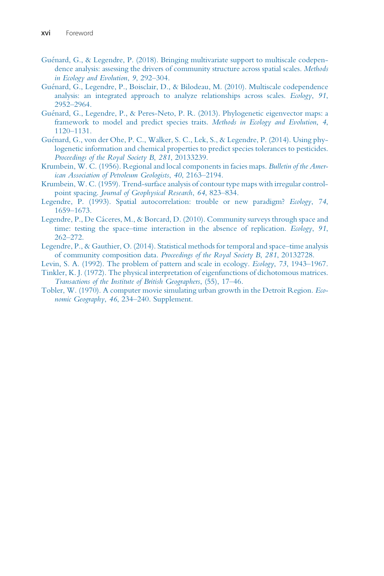- <span id="page-6-0"></span>[Gu](http://refhub.elsevier.com/B978-0-12-815043-6.09997-3/rf0080)é[nard, G., & Legendre, P. \(2018\). Bringing multivariate support to multiscale codepen](http://refhub.elsevier.com/B978-0-12-815043-6.09997-3/rf0080)[dence analysis: assessing the drivers of community structure across spatial scales.](http://refhub.elsevier.com/B978-0-12-815043-6.09997-3/rf0080) Methods [in Ecology and Evolution](http://refhub.elsevier.com/B978-0-12-815043-6.09997-3/rf0080), 9, 292–304.
- [Gu](http://refhub.elsevier.com/B978-0-12-815043-6.09997-3/rf0085)e[nard, G., Legendre, P., Boisclair, D., & Bilodeau, M. \(2010\). Multiscale codependence](http://refhub.elsevier.com/B978-0-12-815043-6.09997-3/rf0085) [analysis: an integrated approach to analyze relationships across scales.](http://refhub.elsevier.com/B978-0-12-815043-6.09997-3/rf0085) Ecology, 91, 2952–[2964.](http://refhub.elsevier.com/B978-0-12-815043-6.09997-3/rf0085)
- [Gu](http://refhub.elsevier.com/B978-0-12-815043-6.09997-3/rf0090)e[nard, G., Legendre, P., & Peres-Neto, P. R. \(2013\). Phylogenetic eigenvector maps: a](http://refhub.elsevier.com/B978-0-12-815043-6.09997-3/rf0090) [framework to model and predict species traits.](http://refhub.elsevier.com/B978-0-12-815043-6.09997-3/rf0090) Methods in Ecology and Evolution, 4, 1120–[1131.](http://refhub.elsevier.com/B978-0-12-815043-6.09997-3/rf0090)
- [Gu](http://refhub.elsevier.com/B978-0-12-815043-6.09997-3/rf0095)e[nard, G., von der Ohe, P. C., Walker, S. C., Lek, S., & Legendre, P. \(2014\). Using phy](http://refhub.elsevier.com/B978-0-12-815043-6.09997-3/rf0095)[logenetic information and chemical properties to predict species tolerances to pesticides.](http://refhub.elsevier.com/B978-0-12-815043-6.09997-3/rf0095) [Proceedings of the Royal Society B](http://refhub.elsevier.com/B978-0-12-815043-6.09997-3/rf0095), 281, 20133239.
- [Krumbein, W. C. \(1956\). Regional and local components in facies maps.](http://refhub.elsevier.com/B978-0-12-815043-6.09997-3/rf0100) Bulletin of the Amer[ican Association of Petroleum Geologists](http://refhub.elsevier.com/B978-0-12-815043-6.09997-3/rf0100), 40, 2163–2194.
- [Krumbein, W. C. \(1959\). Trend-surface analysis of contour type maps with irregular control](http://refhub.elsevier.com/B978-0-12-815043-6.09997-3/rf0105)point spacing. [Journal of Geophysical Research](http://refhub.elsevier.com/B978-0-12-815043-6.09997-3/rf0105), 64, 823–834.
- [Legendre, P. \(1993\). Spatial autocorrelation: trouble or new paradigm?](http://refhub.elsevier.com/B978-0-12-815043-6.09997-3/rf0110) Ecology, 74, 1659–[1673.](http://refhub.elsevier.com/B978-0-12-815043-6.09997-3/rf0110)
- Legendre, P., De Cáceres, M., & Borcard, D. (2010). Community surveys through space and time: testing the space–[time interaction in the absence of replication.](http://refhub.elsevier.com/B978-0-12-815043-6.09997-3/rf0115) Ecology, 91, 262–[272.](http://refhub.elsevier.com/B978-0-12-815043-6.09997-3/rf0115)
- [Legendre, P., & Gauthier, O. \(2014\). Statistical methods for temporal and space](http://refhub.elsevier.com/B978-0-12-815043-6.09997-3/rf0120)–time analysis [of community composition data.](http://refhub.elsevier.com/B978-0-12-815043-6.09997-3/rf0120) Proceedings of the Royal Society B, 281, 20132728.
- [Levin, S. A. \(1992\). The problem of pattern and scale in ecology.](http://refhub.elsevier.com/B978-0-12-815043-6.09997-3/rf0125) Ecology, 73, 1943–1967.
- [Tinkler, K. J. \(1972\). The physical interpretation of eigenfunctions of dichotomous matrices.](http://refhub.elsevier.com/B978-0-12-815043-6.09997-3/rf0130) [Transactions of the Institute of British Geographers](http://refhub.elsevier.com/B978-0-12-815043-6.09997-3/rf0130), (55), 17–46.
- [Tobler, W. \(1970\). A computer movie simulating urban growth in the Detroit Region.](http://refhub.elsevier.com/B978-0-12-815043-6.09997-3/rf0135) Economic Geography, 46, 234–[240. Supplement.](http://refhub.elsevier.com/B978-0-12-815043-6.09997-3/rf0135)